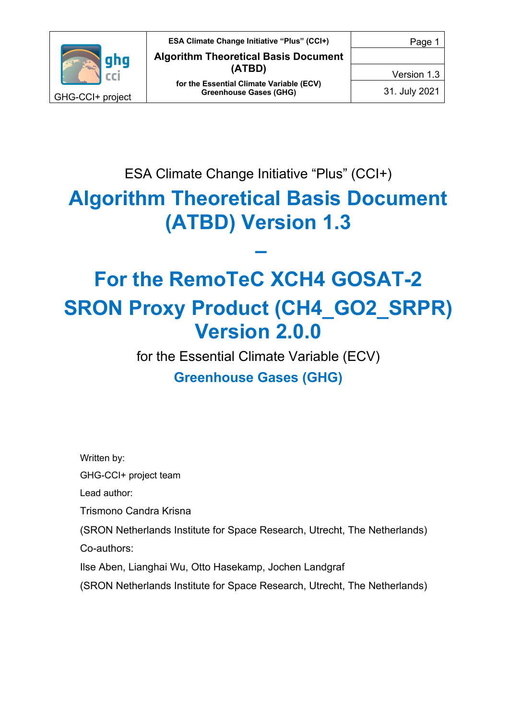

Version 1.3

31. July 2021

ESA Climate Change Initiative "Plus" (CCI+)

# **Algorithm Theoretical Basis Document (ATBD) Version 1.3**

**–**

# **For the RemoTeC XCH4 GOSAT-2 SRON Proxy Product (CH4\_GO2\_SRPR) Version 2.0.0**

for the Essential Climate Variable (ECV) **Greenhouse Gases (GHG)**

Written by:

GHG-CCI+ project team

Lead author:

Trismono Candra Krisna

(SRON Netherlands Institute for Space Research, Utrecht, The Netherlands) Co-authors:

Ilse Aben, Lianghai Wu, Otto Hasekamp, Jochen Landgraf

(SRON Netherlands Institute for Space Research, Utrecht, The Netherlands)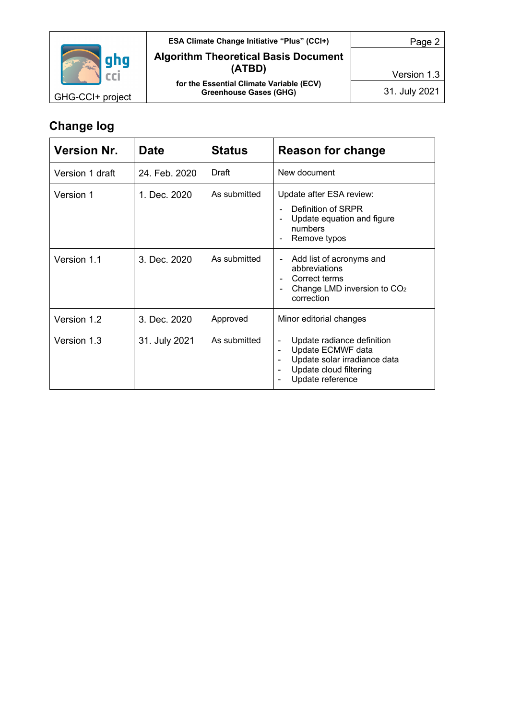

#### **ESA Climate Change Initiative "Plus" (CCI+) Algorithm Theoretical Basis Document (ATBD) for the Essential Climate Variable (ECV)**

**Greenhouse Gases (GHG)**

Page 2

Version 1.3

31. July 2021

GHG-CCI+ project

# **Change log**

| <b>Version Nr.</b> | <b>Date</b>   | <b>Status</b> | <b>Reason for change</b>                                                                                                                                                                                                                |  |
|--------------------|---------------|---------------|-----------------------------------------------------------------------------------------------------------------------------------------------------------------------------------------------------------------------------------------|--|
| Version 1 draft    | 24. Feb. 2020 | Draft         | New document                                                                                                                                                                                                                            |  |
| Version 1          | 1. Dec. 2020  | As submitted  | Update after ESA review:<br>Definition of SRPR<br>Update equation and figure<br>numbers<br>Remove typos                                                                                                                                 |  |
| Version 1.1        | 3. Dec. 2020  | As submitted  | Add list of acronyms and<br>abbreviations<br>Correct terms<br>Change LMD inversion to CO <sub>2</sub><br>$\qquad \qquad \blacksquare$<br>correction                                                                                     |  |
| Version 1.2        | 3. Dec. 2020  | Approved      | Minor editorial changes                                                                                                                                                                                                                 |  |
| Version 1.3        | 31. July 2021 | As submitted  | Update radiance definition<br>$\qquad \qquad \blacksquare$<br>Update ECMWF data<br>$\blacksquare$<br>Update solar irradiance data<br>$\overline{\phantom{a}}$<br>Update cloud filtering<br>$\overline{\phantom{a}}$<br>Update reference |  |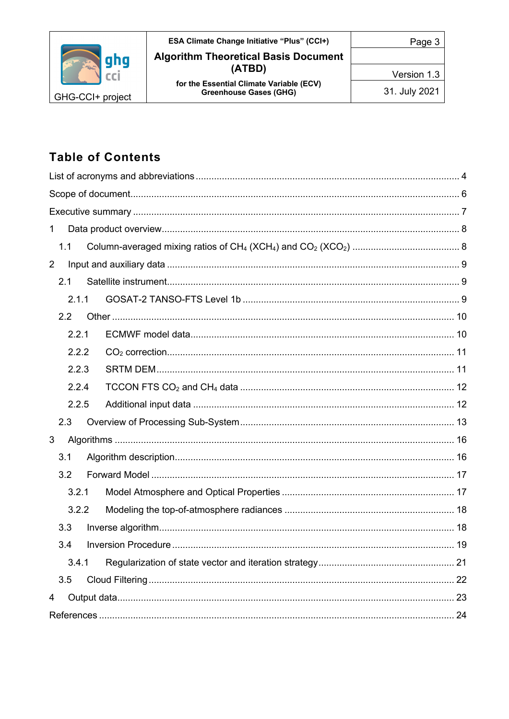|                  | <b>ESA Climate Change Initiative "Plus" (CCI+)</b>                        | Page 3        |
|------------------|---------------------------------------------------------------------------|---------------|
| aha              | <b>Algorithm Theoretical Basis Document</b>                               |               |
|                  | (ATBD)                                                                    | Version 1.3   |
| GHG-CCI+ project | for the Essential Climate Variable (ECV)<br><b>Greenhouse Gases (GHG)</b> | 31. July 2021 |

# **Table of Contents**

| 1 |       |  |    |
|---|-------|--|----|
|   | 1.1   |  |    |
| 2 |       |  |    |
|   | 2.1   |  |    |
|   | 2.1.1 |  |    |
|   | 2.2   |  |    |
|   | 2.2.1 |  |    |
|   | 2.2.2 |  |    |
|   | 2.2.3 |  |    |
|   | 2.2.4 |  |    |
|   | 2.2.5 |  |    |
|   | 2.3   |  |    |
| 3 |       |  |    |
|   | 3.1   |  |    |
|   | 3.2   |  |    |
|   | 3.2.1 |  |    |
|   | 3.2.2 |  |    |
|   | 3.3   |  |    |
|   | 3.4   |  |    |
|   | 3.4.1 |  |    |
|   | 3.5   |  | 22 |
| 4 |       |  |    |
|   |       |  |    |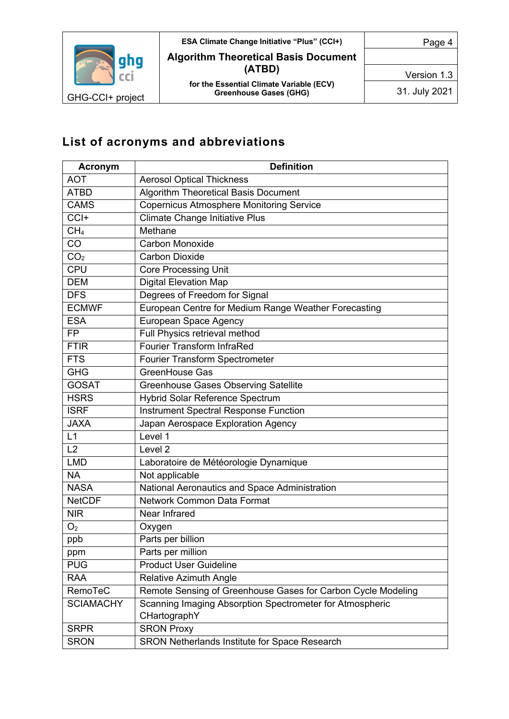

**ESA Climate Change Initiative "Plus" (CCI+) Algorithm Theoretical Basis Document (ATBD) for the Essential Climate Variable (ECV)**

**Greenhouse Gases (GHG)**

Version 1.3

Page 4

31. July 2021

# **List of acronyms and abbreviations**

| <b>Acronym</b>   | <b>Definition</b>                                            |  |
|------------------|--------------------------------------------------------------|--|
| <b>AOT</b>       | <b>Aerosol Optical Thickness</b>                             |  |
| <b>ATBD</b>      | <b>Algorithm Theoretical Basis Document</b>                  |  |
| <b>CAMS</b>      | <b>Copernicus Atmosphere Monitoring Service</b>              |  |
| CCI+             | <b>Climate Change Initiative Plus</b>                        |  |
| CH <sub>4</sub>  | Methane                                                      |  |
| CO               | <b>Carbon Monoxide</b>                                       |  |
| CO <sub>2</sub>  | <b>Carbon Dioxide</b>                                        |  |
| <b>CPU</b>       | <b>Core Processing Unit</b>                                  |  |
| <b>DEM</b>       | <b>Digital Elevation Map</b>                                 |  |
| <b>DFS</b>       | Degrees of Freedom for Signal                                |  |
| <b>ECMWF</b>     | European Centre for Medium Range Weather Forecasting         |  |
| <b>ESA</b>       | European Space Agency                                        |  |
| <b>FP</b>        | Full Physics retrieval method                                |  |
| <b>FTIR</b>      | <b>Fourier Transform InfraRed</b>                            |  |
| <b>FTS</b>       | Fourier Transform Spectrometer                               |  |
| <b>GHG</b>       | GreenHouse Gas                                               |  |
| <b>GOSAT</b>     | <b>Greenhouse Gases Observing Satellite</b>                  |  |
| <b>HSRS</b>      | Hybrid Solar Reference Spectrum                              |  |
| <b>ISRF</b>      | <b>Instrument Spectral Response Function</b>                 |  |
| <b>JAXA</b>      | Japan Aerospace Exploration Agency                           |  |
| L1               | Level 1                                                      |  |
| L2               | Level 2                                                      |  |
| <b>LMD</b>       | Laboratoire de Météorologie Dynamique                        |  |
| <b>NA</b>        | Not applicable                                               |  |
| <b>NASA</b>      | National Aeronautics and Space Administration                |  |
| <b>NetCDF</b>    | Network Common Data Format                                   |  |
| <b>NIR</b>       | Near Infrared                                                |  |
| O <sub>2</sub>   | Oxygen                                                       |  |
| ppb              | Parts per billion                                            |  |
| ppm              | Parts per million                                            |  |
| <b>PUG</b>       | <b>Product User Guideline</b>                                |  |
| <b>RAA</b>       | <b>Relative Azimuth Angle</b>                                |  |
| RemoTeC          | Remote Sensing of Greenhouse Gases for Carbon Cycle Modeling |  |
| <b>SCIAMACHY</b> | Scanning Imaging Absorption Spectrometer for Atmospheric     |  |
|                  | CHartographY                                                 |  |
| <b>SRPR</b>      | <b>SRON Proxy</b>                                            |  |
| <b>SRON</b>      | SRON Netherlands Institute for Space Research                |  |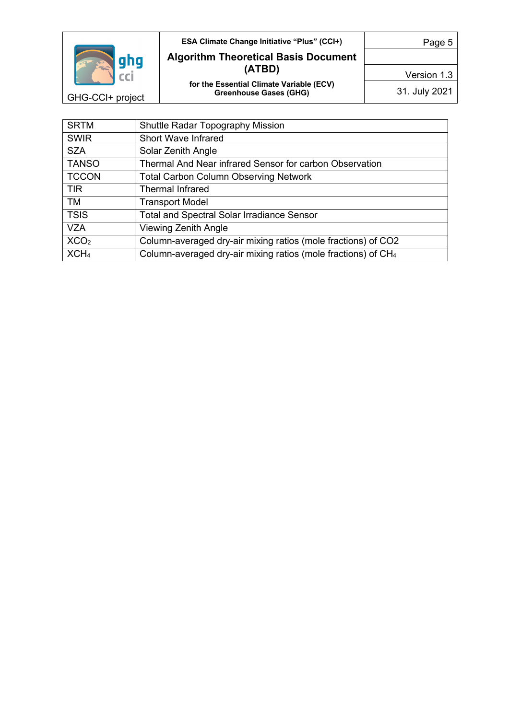

GHG-CCI+ project

#### **ESA Climate Change Initiative "Plus" (CCI+) Algorithm Theoretical Basis Document (ATBD) for the Essential Climate Variable (ECV) Greenhouse Gases (GHG)**

Page 5

Version 1.3

31. July 2021

| <b>SRTM</b>      | <b>Shuttle Radar Topography Mission</b>                                   |
|------------------|---------------------------------------------------------------------------|
| <b>SWIR</b>      | <b>Short Wave Infrared</b>                                                |
| <b>SZA</b>       | Solar Zenith Angle                                                        |
| <b>TANSO</b>     | Thermal And Near infrared Sensor for carbon Observation                   |
| <b>TCCON</b>     | <b>Total Carbon Column Observing Network</b>                              |
| <b>TIR</b>       | <b>Thermal Infrared</b>                                                   |
| <b>TM</b>        | <b>Transport Model</b>                                                    |
| <b>TSIS</b>      | <b>Total and Spectral Solar Irradiance Sensor</b>                         |
| <b>VZA</b>       | Viewing Zenith Angle                                                      |
| XCO <sub>2</sub> | Column-averaged dry-air mixing ratios (mole fractions) of CO2             |
| XCH <sub>4</sub> | Column-averaged dry-air mixing ratios (mole fractions) of CH <sub>4</sub> |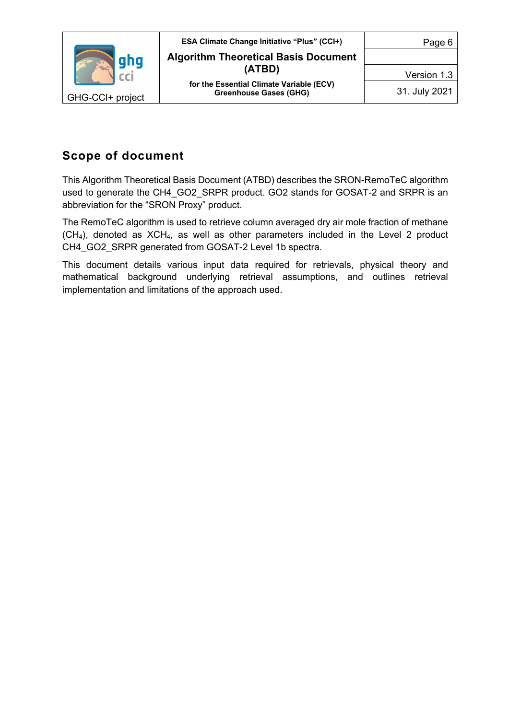

## **Scope of document**

This Algorithm Theoretical Basis Document (ATBD) describes the SRON-RemoTeC algorithm used to generate the CH4\_GO2\_SRPR product. GO2 stands for GOSAT-2 and SRPR is an abbreviation for the "SRON Proxy" product.

The RemoTeC algorithm is used to retrieve column averaged dry air mole fraction of methane  $(CH<sub>4</sub>)$ , denoted as  $XCH<sub>4</sub>$ , as well as other parameters included in the Level 2 product CH4\_GO2\_SRPR generated from GOSAT-2 Level 1b spectra.

This document details various input data required for retrievals, physical theory and mathematical background underlying retrieval assumptions, and outlines retrieval implementation and limitations of the approach used.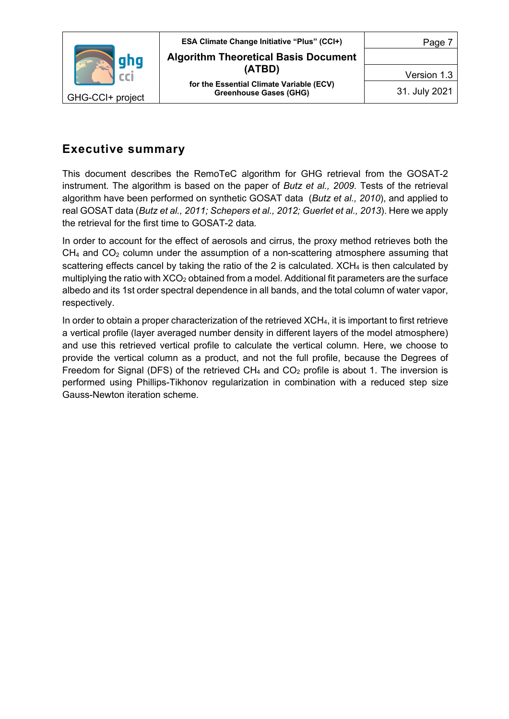

## **Executive summary**

This document describes the RemoTeC algorithm for GHG retrieval from the GOSAT-2 instrument. The algorithm is based on the paper of *Butz et al., 2009*. Tests of the retrieval algorithm have been performed on synthetic GOSAT data (*Butz et al., 2010*), and applied to real GOSAT data (*Butz et al., 2011; Schepers et al., 2012; Guerlet et al., 2013*). Here we apply the retrieval for the first time to GOSAT-2 data*.*

In order to account for the effect of aerosols and cirrus, the proxy method retrieves both the  $CH<sub>4</sub>$  and  $CO<sub>2</sub>$  column under the assumption of a non-scattering atmosphere assuming that scattering effects cancel by taking the ratio of the 2 is calculated. XCH<sub>4</sub> is then calculated by multiplying the ratio with  $XCO<sub>2</sub>$  obtained from a model. Additional fit parameters are the surface albedo and its 1st order spectral dependence in all bands, and the total column of water vapor, respectively.

In order to obtain a proper characterization of the retrieved XCH4, it is important to first retrieve a vertical profile (layer averaged number density in different layers of the model atmosphere) and use this retrieved vertical profile to calculate the vertical column. Here, we choose to provide the vertical column as a product, and not the full profile, because the Degrees of Freedom for Signal (DFS) of the retrieved  $CH_4$  and  $CO_2$  profile is about 1. The inversion is performed using Phillips-Tikhonov regularization in combination with a reduced step size Gauss-Newton iteration scheme.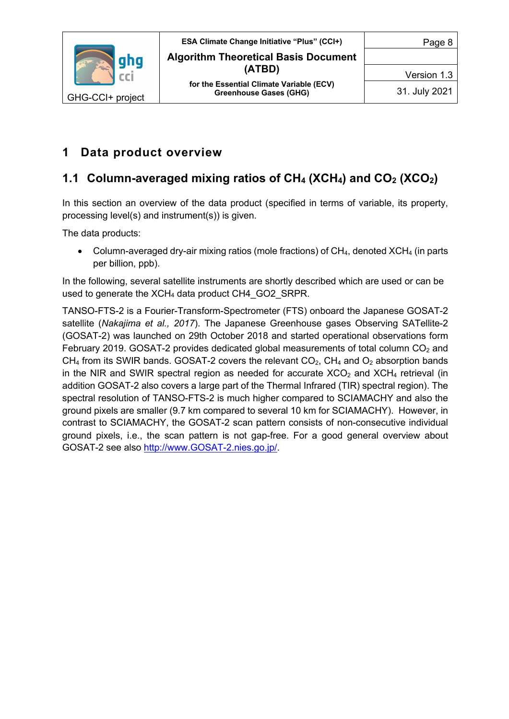

## **1 Data product overview**

# **1.1 Column-averaged mixing ratios of CH4 (XCH4) and CO2 (XCO2)**

In this section an overview of the data product (specified in terms of variable, its property, processing level(s) and instrument(s)) is given.

The data products:

• Column-averaged dry-air mixing ratios (mole fractions) of  $CH<sub>4</sub>$ , denoted XCH<sub>4</sub> (in parts per billion, ppb).

In the following, several satellite instruments are shortly described which are used or can be used to generate the XCH<sub>4</sub> data product CH4\_GO2\_SRPR.

TANSO-FTS-2 is a Fourier-Transform-Spectrometer (FTS) onboard the Japanese GOSAT-2 satellite (*Nakajima et al., 2017*). The Japanese Greenhouse gases Observing SATellite-2 (GOSAT-2) was launched on 29th October 2018 and started operational observations form February 2019. GOSAT-2 provides dedicated global measurements of total column  $CO<sub>2</sub>$  and  $CH_4$  from its SWIR bands. GOSAT-2 covers the relevant  $CO_2$ ,  $CH_4$  and  $O_2$  absorption bands in the NIR and SWIR spectral region as needed for accurate  $XCO<sub>2</sub>$  and  $XCH<sub>4</sub>$  retrieval (in addition GOSAT-2 also covers a large part of the Thermal Infrared (TIR) spectral region). The spectral resolution of TANSO-FTS-2 is much higher compared to SCIAMACHY and also the ground pixels are smaller (9.7 km compared to several 10 km for SCIAMACHY). However, in contrast to SCIAMACHY, the GOSAT-2 scan pattern consists of non-consecutive individual ground pixels, i.e., the scan pattern is not gap-free. For a good general overview about GOSAT-2 see also http://www.GOSAT-2.nies.go.jp/.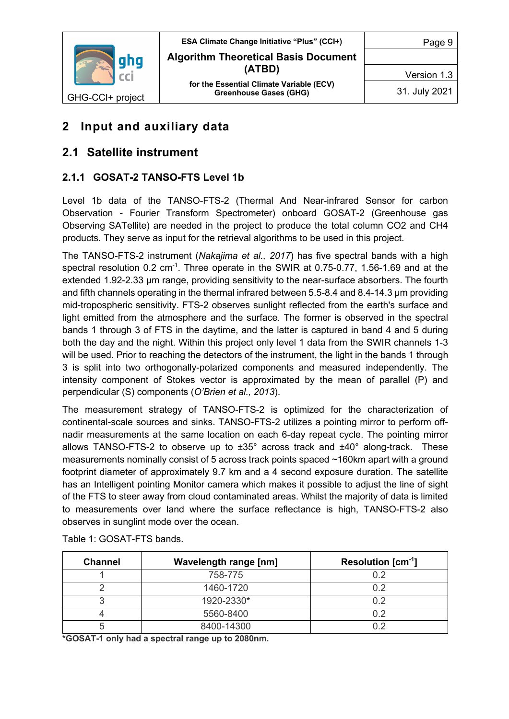

Version 1.3

31. July 2021

## **2 Input and auxiliary data**

## **2.1 Satellite instrument**

#### **2.1.1 GOSAT-2 TANSO-FTS Level 1b**

Level 1b data of the TANSO-FTS-2 (Thermal And Near-infrared Sensor for carbon Observation - Fourier Transform Spectrometer) onboard GOSAT-2 (Greenhouse gas Observing SATellite) are needed in the project to produce the total column CO2 and CH4 products. They serve as input for the retrieval algorithms to be used in this project.

The TANSO-FTS-2 instrument (*Nakajima et al., 2017*) has five spectral bands with a high spectral resolution 0.2 cm<sup>-1</sup>. Three operate in the SWIR at 0.75-0.77, 1.56-1.69 and at the extended 1.92-2.33 μm range, providing sensitivity to the near-surface absorbers. The fourth and fifth channels operating in the thermal infrared between 5.5-8.4 and 8.4-14.3 µm providing mid-tropospheric sensitivity. FTS-2 observes sunlight reflected from the earth's surface and light emitted from the atmosphere and the surface. The former is observed in the spectral bands 1 through 3 of FTS in the daytime, and the latter is captured in band 4 and 5 during both the day and the night. Within this project only level 1 data from the SWIR channels 1-3 will be used. Prior to reaching the detectors of the instrument, the light in the bands 1 through 3 is split into two orthogonally-polarized components and measured independently. The intensity component of Stokes vector is approximated by the mean of parallel (P) and perpendicular (S) components (*O'Brien et al., 2013*).

The measurement strategy of TANSO-FTS-2 is optimized for the characterization of continental-scale sources and sinks. TANSO-FTS-2 utilizes a pointing mirror to perform offnadir measurements at the same location on each 6-day repeat cycle. The pointing mirror allows TANSO-FTS-2 to observe up to ±35° across track and ±40° along-track. These measurements nominally consist of 5 across track points spaced ~160km apart with a ground footprint diameter of approximately 9.7 km and a 4 second exposure duration. The satellite has an Intelligent pointing Monitor camera which makes it possible to adjust the line of sight of the FTS to steer away from cloud contaminated areas. Whilst the majority of data is limited to measurements over land where the surface reflectance is high, TANSO-FTS-2 also observes in sunglint mode over the ocean.

| <b>Channel</b> | <b>Wavelength range [nm]</b> | Resolution $\text{[cm}^{\text{-}1}]$ |
|----------------|------------------------------|--------------------------------------|
|                | 758-775                      | 0.2                                  |
|                | 1460-1720                    | ገ ጋ                                  |
|                | 1920-2330*                   | ገ ጋ                                  |
|                | 5560-8400                    | כי                                   |
|                | 8400-14300                   |                                      |

Table 1: GOSAT-FTS bands.

**\*GOSAT-1 only had a spectral range up to 2080nm.**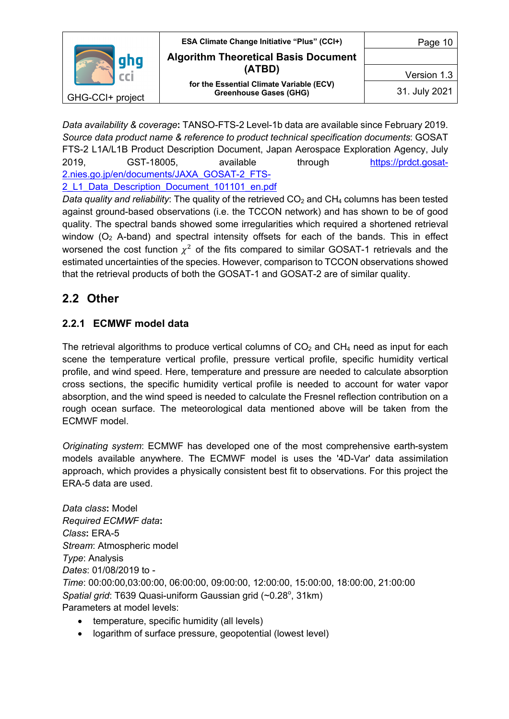

*Data availability & coverage***:** TANSO-FTS-2 Level-1b data are available since February 2019. *Source data product name & reference to product technical specification documents*: GOSAT FTS-2 L1A/L1B Product Description Document, Japan Aerospace Exploration Agency, July 2019, GST-18005, available through https://prdct.gosat-2.nies.go.jp/en/documents/JAXA\_GOSAT-2\_FTS-

2\_L1\_Data\_Description\_Document\_101101\_en.pdf

*Data quality and reliability*: The quality of the retrieved CO<sub>2</sub> and CH<sub>4</sub> columns has been tested against ground-based observations (i.e. the TCCON network) and has shown to be of good quality. The spectral bands showed some irregularities which required a shortened retrieval window  $(O_2$  A-band) and spectral intensity offsets for each of the bands. This in effect worsened the cost function  $\chi^2$  of the fits compared to similar GOSAT-1 retrievals and the estimated uncertainties of the species. However, comparison to TCCON observations showed that the retrieval products of both the GOSAT-1 and GOSAT-2 are of similar quality.

## **2.2 Other**

#### **2.2.1 ECMWF model data**

The retrieval algorithms to produce vertical columns of  $CO<sub>2</sub>$  and  $CH<sub>4</sub>$  need as input for each scene the temperature vertical profile, pressure vertical profile, specific humidity vertical profile, and wind speed. Here, temperature and pressure are needed to calculate absorption cross sections, the specific humidity vertical profile is needed to account for water vapor absorption, and the wind speed is needed to calculate the Fresnel reflection contribution on a rough ocean surface. The meteorological data mentioned above will be taken from the ECMWF model.

*Originating system*: ECMWF has developed one of the most comprehensive earth-system models available anywhere. The ECMWF model is uses the '4D-Var' data assimilation approach, which provides a physically consistent best fit to observations. For this project the ERA-5 data are used.

*Data class***:** Model *Required ECMWF data***:** *Class***:** ERA-5 *Stream*: Atmospheric model *Type*: Analysis *Dates*: 01/08/2019 to - *Time*: 00:00:00,03:00:00, 06:00:00, 09:00:00, 12:00:00, 15:00:00, 18:00:00, 21:00:00 Spatial grid: T639 Quasi-uniform Gaussian grid (~0.28°, 31km) Parameters at model levels:

- temperature, specific humidity (all levels)
- logarithm of surface pressure, geopotential (lowest level)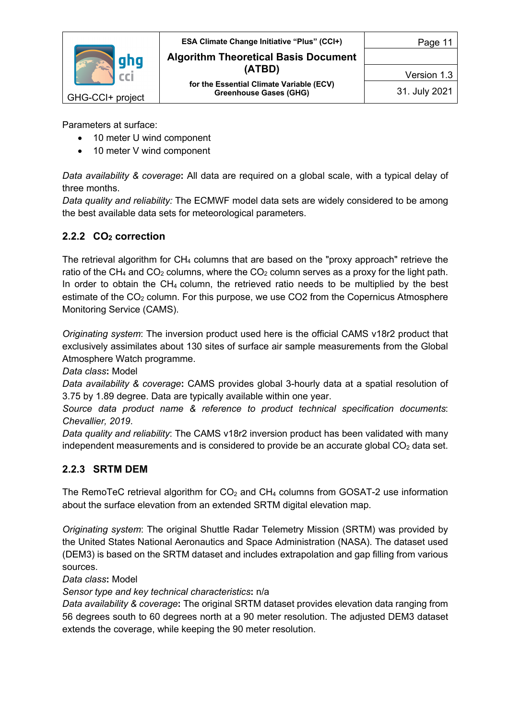

Parameters at surface:

- 10 meter U wind component
- 10 meter V wind component

*Data availability & coverage***:** All data are required on a global scale, with a typical delay of three months.

*Data quality and reliability:* The ECMWF model data sets are widely considered to be among the best available data sets for meteorological parameters.

#### **2.2.2 CO2 correction**

The retrieval algorithm for CH4 columns that are based on the "proxy approach" retrieve the ratio of the CH<sub>4</sub> and CO<sub>2</sub> columns, where the CO<sub>2</sub> column serves as a proxy for the light path. In order to obtain the  $CH_4$  column, the retrieved ratio needs to be multiplied by the best estimate of the  $CO<sub>2</sub>$  column. For this purpose, we use  $CO<sub>2</sub>$  from the Copernicus Atmosphere Monitoring Service (CAMS).

*Originating system*: The inversion product used here is the official CAMS v18r2 product that exclusively assimilates about 130 sites of surface air sample measurements from the Global Atmosphere Watch programme.

*Data class***:** Model

*Data availability & coverage***:** CAMS provides global 3-hourly data at a spatial resolution of 3.75 by 1.89 degree. Data are typically available within one year.

*Source data product name & reference to product technical specification documents*: *Chevallier, 2019*.

*Data quality and reliability*: The CAMS v18r2 inversion product has been validated with many independent measurements and is considered to provide be an accurate global  $CO<sub>2</sub>$  data set.

#### **2.2.3 SRTM DEM**

The RemoTeC retrieval algorithm for  $CO<sub>2</sub>$  and  $CH<sub>4</sub>$  columns from GOSAT-2 use information about the surface elevation from an extended SRTM digital elevation map.

*Originating system*: The original Shuttle Radar Telemetry Mission (SRTM) was provided by the United States National Aeronautics and Space Administration (NASA). The dataset used (DEM3) is based on the SRTM dataset and includes extrapolation and gap filling from various sources.

*Data class***:** Model

*Sensor type and key technical characteristics***:** n/a

*Data availability & coverage***:** The original SRTM dataset provides elevation data ranging from 56 degrees south to 60 degrees north at a 90 meter resolution. The adjusted DEM3 dataset extends the coverage, while keeping the 90 meter resolution.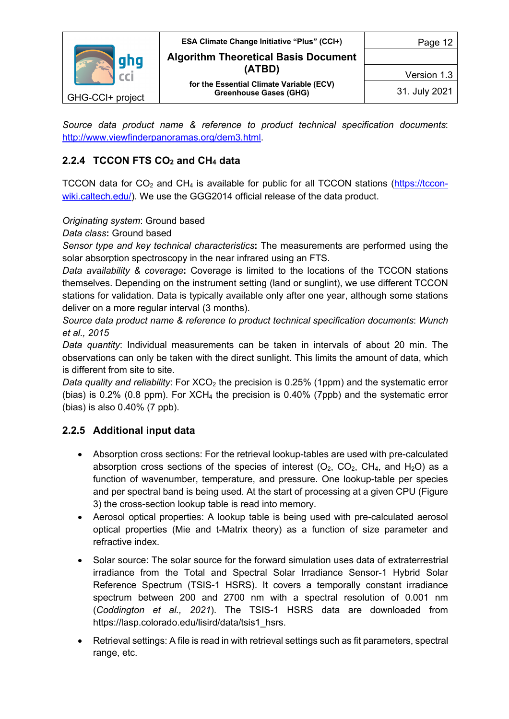

*Source data product name & reference to product technical specification documents*: http://www.viewfinderpanoramas.org/dem3.html.

#### **2.2.4 TCCON FTS CO2 and CH4 data**

TCCON data for  $CO<sub>2</sub>$  and CH<sub>4</sub> is available for public for all TCCON stations (https://tcconwiki.caltech.edu/). We use the GGG2014 official release of the data product.

#### *Originating system*: Ground based

*Data class***:** Ground based

*Sensor type and key technical characteristics***:** The measurements are performed using the solar absorption spectroscopy in the near infrared using an FTS.

*Data availability & coverage***:** Coverage is limited to the locations of the TCCON stations themselves. Depending on the instrument setting (land or sunglint), we use different TCCON stations for validation. Data is typically available only after one year, although some stations deliver on a more regular interval (3 months).

*Source data product name & reference to product technical specification documents*: *Wunch et al., 2015*

*Data quantity*: Individual measurements can be taken in intervals of about 20 min. The observations can only be taken with the direct sunlight. This limits the amount of data, which is different from site to site.

*Data quality and reliability*: For XCO<sub>2</sub> the precision is 0.25% (1ppm) and the systematic error (bias) is 0.2% (0.8 ppm). For  $XCH_4$  the precision is 0.40% (7ppb) and the systematic error (bias) is also 0.40% (7 ppb).

#### **2.2.5 Additional input data**

- Absorption cross sections: For the retrieval lookup-tables are used with pre-calculated absorption cross sections of the species of interest  $(O_2, CO_2, CH_4, and H_2O)$  as a function of wavenumber, temperature, and pressure. One lookup-table per species and per spectral band is being used. At the start of processing at a given CPU (Figure 3) the cross-section lookup table is read into memory.
- Aerosol optical properties: A lookup table is being used with pre-calculated aerosol optical properties (Mie and t-Matrix theory) as a function of size parameter and refractive index.
- Solar source: The solar source for the forward simulation uses data of extraterrestrial irradiance from the Total and Spectral Solar Irradiance Sensor-1 Hybrid Solar Reference Spectrum (TSIS-1 HSRS). It covers a temporally constant irradiance spectrum between 200 and 2700 nm with a spectral resolution of 0.001 nm (*Coddington et al., 2021*). The TSIS-1 HSRS data are downloaded from https://lasp.colorado.edu/lisird/data/tsis1\_hsrs.
- Retrieval settings: A file is read in with retrieval settings such as fit parameters, spectral range, etc.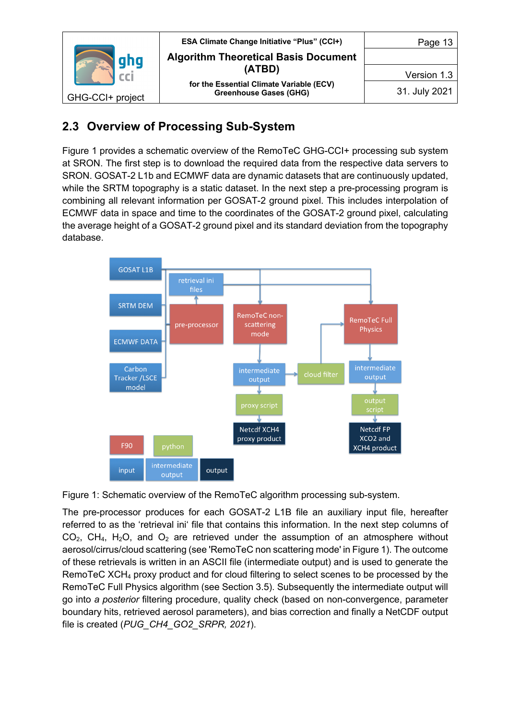

## **2.3 Overview of Processing Sub-System**

Figure 1 provides a schematic overview of the RemoTeC GHG-CCI+ processing sub system at SRON. The first step is to download the required data from the respective data servers to SRON. GOSAT-2 L1b and ECMWF data are dynamic datasets that are continuously updated, while the SRTM topography is a static dataset. In the next step a pre-processing program is combining all relevant information per GOSAT-2 ground pixel. This includes interpolation of ECMWF data in space and time to the coordinates of the GOSAT-2 ground pixel, calculating the average height of a GOSAT-2 ground pixel and its standard deviation from the topography database.



Figure 1: Schematic overview of the RemoTeC algorithm processing sub-system.

The pre-processor produces for each GOSAT-2 L1B file an auxiliary input file, hereafter referred to as the 'retrieval ini' file that contains this information. In the next step columns of  $CO<sub>2</sub>$ , CH<sub>4</sub>, H<sub>2</sub>O, and O<sub>2</sub> are retrieved under the assumption of an atmosphere without aerosol/cirrus/cloud scattering (see 'RemoTeC non scattering mode' in Figure 1). The outcome of these retrievals is written in an ASCII file (intermediate output) and is used to generate the RemoTeC XCH4 proxy product and for cloud filtering to select scenes to be processed by the RemoTeC Full Physics algorithm (see Section 3.5). Subsequently the intermediate output will go into *a posterior* filtering procedure, quality check (based on non-convergence, parameter boundary hits, retrieved aerosol parameters), and bias correction and finally a NetCDF output file is created (*PUG\_CH4\_GO2\_SRPR, 2021*).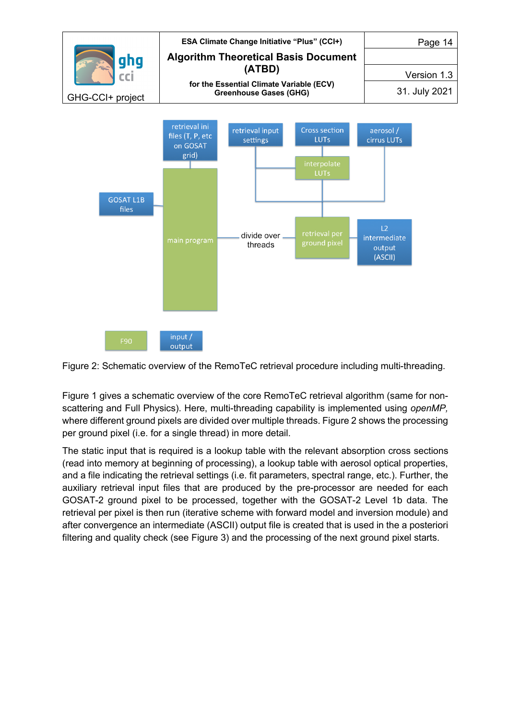

Figure 2: Schematic overview of the RemoTeC retrieval procedure including multi-threading.

Figure 1 gives a schematic overview of the core RemoTeC retrieval algorithm (same for nonscattering and Full Physics). Here, multi-threading capability is implemented using *openMP,*  where different ground pixels are divided over multiple threads. Figure 2 shows the processing per ground pixel (i.e. for a single thread) in more detail.

The static input that is required is a lookup table with the relevant absorption cross sections (read into memory at beginning of processing), a lookup table with aerosol optical properties, and a file indicating the retrieval settings (i.e. fit parameters, spectral range, etc.). Further, the auxiliary retrieval input files that are produced by the pre-processor are needed for each GOSAT-2 ground pixel to be processed, together with the GOSAT-2 Level 1b data. The retrieval per pixel is then run (iterative scheme with forward model and inversion module) and after convergence an intermediate (ASCII) output file is created that is used in the a posteriori filtering and quality check (see Figure 3) and the processing of the next ground pixel starts.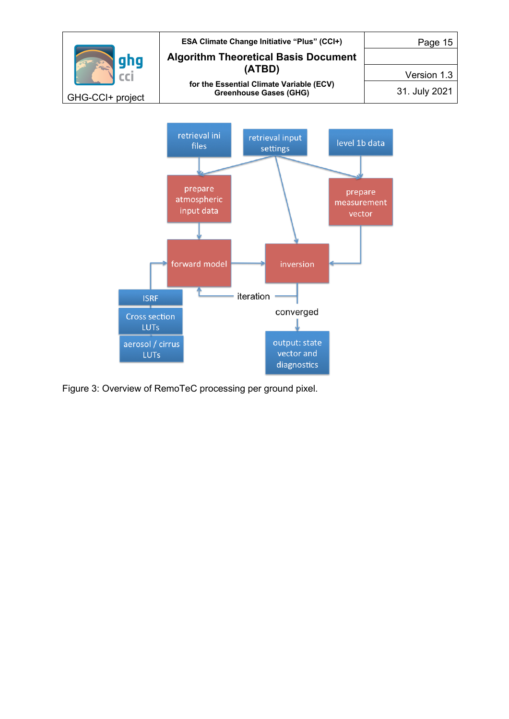

Figure 3: Overview of RemoTeC processing per ground pixel.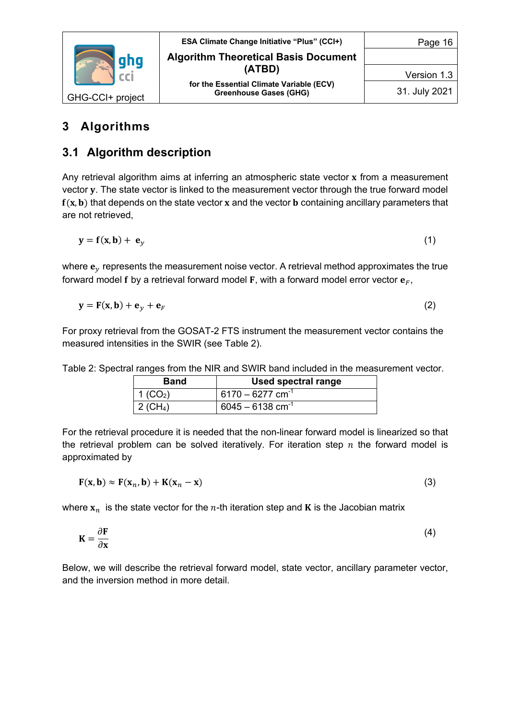

## **3 Algorithms**

## **3.1 Algorithm description**

Any retrieval algorithm aims at inferring an atmospheric state vector x from a measurement vector y. The state vector is linked to the measurement vector through the true forward model  $f(x, b)$  that depends on the state vector x and the vector **b** containing ancillary parameters that are not retrieved,

$$
y = f(x, b) + e_y \tag{1}
$$

where  $\mathbf{e}_v$  represents the measurement noise vector. A retrieval method approximates the true forward model f by a retrieval forward model F, with a forward model error vector  $\mathbf{e}_F$ ,

$$
\mathbf{y} = \mathbf{F}(\mathbf{x}, \mathbf{b}) + \mathbf{e}_y + \mathbf{e}_F \tag{2}
$$

For proxy retrieval from the GOSAT-2 FTS instrument the measurement vector contains the measured intensities in the SWIR (see Table 2).

| <b>Band</b>          | Used spectral range            |
|----------------------|--------------------------------|
| 1 (CO <sub>2</sub> ) | $6170 - 6277$ cm <sup>-1</sup> |
| 2 (CH <sub>4</sub> ) | $6045 - 6138$ cm <sup>-1</sup> |

Table 2: Spectral ranges from the NIR and SWIR band included in the measurement vector.

For the retrieval procedure it is needed that the non-linear forward model is linearized so that the retrieval problem can be solved iteratively. For iteration step  $n$  the forward model is approximated by

$$
F(x, b) \approx F(x_n, b) + K(x_n - x)
$$
\n(3)

where  ${\bf x}_n$  is the state vector for the *n*-th iteration step and **K** is the Jacobian matrix

$$
\mathbf{K} = \frac{\partial \mathbf{F}}{\partial \mathbf{x}} \tag{4}
$$

Below, we will describe the retrieval forward model, state vector, ancillary parameter vector, and the inversion method in more detail.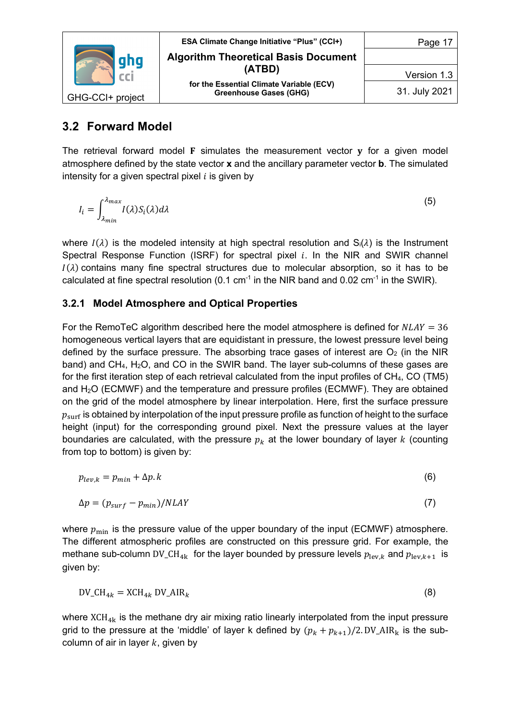

### **3.2 Forward Model**

The retrieval forward model  $F$  simulates the measurement vector  $y$  for a given model atmosphere defined by the state vector **x** and the ancillary parameter vector **b**. The simulated intensity for a given spectral pixel  $i$  is given by

$$
I_i = \int_{\lambda_{min}}^{\lambda_{max}} I(\lambda) S_i(\lambda) d\lambda
$$
 (5)

where  $I(\lambda)$  is the modeled intensity at high spectral resolution and  $S_i(\lambda)$  is the Instrument Spectral Response Function (ISRF) for spectral pixel  $i$ . In the NIR and SWIR channel  $I(\lambda)$  contains many fine spectral structures due to molecular absorption, so it has to be calculated at fine spectral resolution (0.1 cm<sup>-1</sup> in the NIR band and 0.02 cm<sup>-1</sup> in the SWIR).

#### **3.2.1 Model Atmosphere and Optical Properties**

For the RemoTeC algorithm described here the model atmosphere is defined for  $NLAY = 36$ homogeneous vertical layers that are equidistant in pressure, the lowest pressure level being defined by the surface pressure. The absorbing trace gases of interest are  $O<sub>2</sub>$  (in the NIR band) and  $CH_4$ ,  $H_2O$ , and  $CO$  in the SWIR band. The layer sub-columns of these gases are for the first iteration step of each retrieval calculated from the input profiles of CH4, CO (TM5) and H2O (ECMWF) and the temperature and pressure profiles (ECMWF). They are obtained on the grid of the model atmosphere by linear interpolation. Here, first the surface pressure  $p_{\text{surf}}$  is obtained by interpolation of the input pressure profile as function of height to the surface height (input) for the corresponding ground pixel. Next the pressure values at the layer boundaries are calculated, with the pressure  $p_k$  at the lower boundary of layer k (counting from top to bottom) is given by:

$$
p_{lev,k} = p_{min} + \Delta p. \tag{6}
$$

$$
\Delta p = (p_{\text{surf}} - p_{\text{min}}) / N L A Y \tag{7}
$$

where  $p_{\min}$  is the pressure value of the upper boundary of the input (ECMWF) atmosphere. The different atmospheric profiles are constructed on this pressure grid. For example, the methane sub-column DV\_CH<sub>4k</sub> for the layer bounded by pressure levels  $p_{\text{lev},k}$  and  $p_{\text{lev},k+1}$  is given by:

$$
DV\_CH_{4k} = XCH_{4k} DV\_AIR_k
$$
\n(8)

where  $XCH_{4k}$  is the methane dry air mixing ratio linearly interpolated from the input pressure grid to the pressure at the 'middle' of layer k defined by  $(p_k + p_{k+1})/2$ . DV\_AIR<sub>k</sub> is the subcolumn of air in layer  $k$ , given by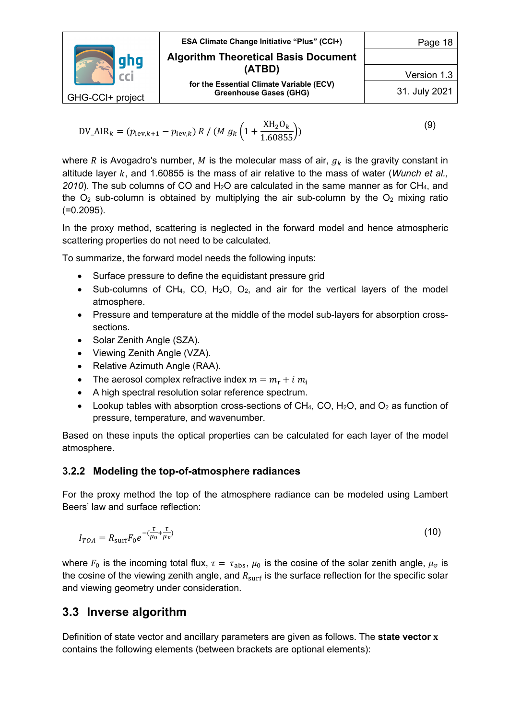| aha              | <b>ESA Climate Change Initiative "Plus" (CCI+)</b><br><b>Algorithm Theoretical Basis Document</b> | Page 18       |
|------------------|---------------------------------------------------------------------------------------------------|---------------|
|                  | (ATBD)                                                                                            | Version 1.3   |
| GHG-CCI+ project | for the Essential Climate Variable (ECV)<br><b>Greenhouse Gases (GHG)</b>                         | 31. July 2021 |

$$
DV_AIR_k = (p_{\text{lev},k+1} - p_{\text{lev},k}) R / (M g_k \left(1 + \frac{XH_2O_k}{1.60855}\right))
$$
\n(9)

where R is Avogadro's number, M is the molecular mass of air,  $g_k$  is the gravity constant in altitude layer k, and 1.60855 is the mass of air relative to the mass of water (*Wunch et al.,* 2010). The sub columns of CO and  $H_2O$  are calculated in the same manner as for CH<sub>4</sub>, and the  $O_2$  sub-column is obtained by multiplying the air sub-column by the  $O_2$  mixing ratio (=0.2095).

In the proxy method, scattering is neglected in the forward model and hence atmospheric scattering properties do not need to be calculated.

To summarize, the forward model needs the following inputs:

- Surface pressure to define the equidistant pressure grid
- Sub-columns of CH<sub>4</sub>, CO, H<sub>2</sub>O, O<sub>2</sub>, and air for the vertical layers of the model atmosphere.
- Pressure and temperature at the middle of the model sub-layers for absorption crosssections.
- Solar Zenith Angle (SZA).
- Viewing Zenith Angle (VZA).
- Relative Azimuth Angle (RAA).
- The aerosol complex refractive index  $m = m_r + i m_i$
- A high spectral resolution solar reference spectrum.
- Lookup tables with absorption cross-sections of  $CH_4$ , CO, H<sub>2</sub>O, and O<sub>2</sub> as function of pressure, temperature, and wavenumber.

Based on these inputs the optical properties can be calculated for each layer of the model atmosphere.

#### **3.2.2 Modeling the top-of-atmosphere radiances**

For the proxy method the top of the atmosphere radiance can be modeled using Lambert Beers' law and surface reflection:

$$
I_{TOA} = R_{\text{surf}} F_0 e^{-(\frac{\tau}{\mu_0} + \frac{\tau}{\mu_\nu})}
$$
\n(10)

where  $F_0$  is the incoming total flux,  $\tau = \tau_{\text{abs}}$ ,  $\mu_0$  is the cosine of the solar zenith angle,  $\mu_\nu$  is the cosine of the viewing zenith angle, and  $R_{\text{surf}}$  is the surface reflection for the specific solar and viewing geometry under consideration.

#### **3.3 Inverse algorithm**

Definition of state vector and ancillary parameters are given as follows. The **state vector**  contains the following elements (between brackets are optional elements):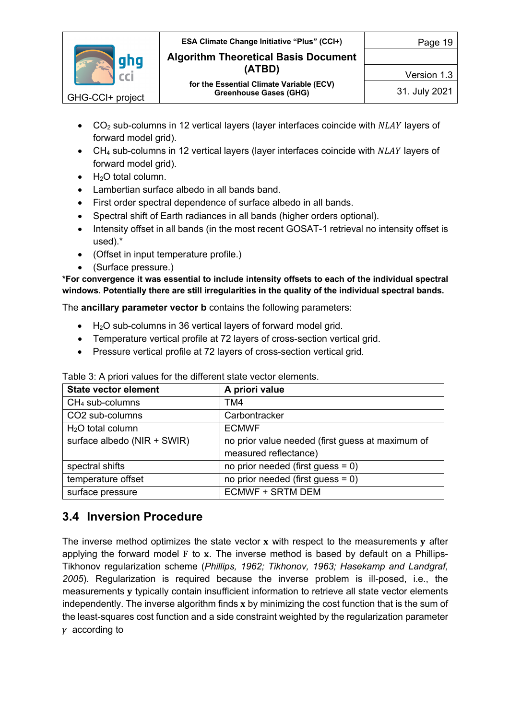

Version 1.3

- $CO<sub>2</sub>$  sub-columns in 12 vertical layers (layer interfaces coincide with  $NLAY$  layers of forward model grid).
- $CH<sub>4</sub>$  sub-columns in 12 vertical layers (layer interfaces coincide with  $NLAY$  layers of forward model grid).
- $\bullet$  H<sub>2</sub>O total column.
- Lambertian surface albedo in all bands band.
- First order spectral dependence of surface albedo in all bands.
- Spectral shift of Earth radiances in all bands (higher orders optional).
- Intensity offset in all bands (in the most recent GOSAT-1 retrieval no intensity offset is used).\*
- (Offset in input temperature profile.)
- (Surface pressure.)

**\*For convergence it was essential to include intensity offsets to each of the individual spectral windows. Potentially there are still irregularities in the quality of the individual spectral bands.**

The **ancillary parameter vector b** contains the following parameters:

- H2O sub-columns in 36 vertical layers of forward model grid.
- Temperature vertical profile at 72 layers of cross-section vertical grid.
- Pressure vertical profile at 72 layers of cross-section vertical grid.

| <b>State vector element</b> | A priori value                                   |
|-----------------------------|--------------------------------------------------|
| $CH4$ sub-columns           | TM4                                              |
| CO2 sub-columns             | Carbontracker                                    |
| $H2O$ total column          | <b>ECMWF</b>                                     |
| surface albedo (NIR + SWIR) | no prior value needed (first guess at maximum of |
|                             | measured reflectance)                            |
| spectral shifts             | no prior needed (first guess = $0$ )             |
| temperature offset          | no prior needed (first guess $= 0$ )             |
| surface pressure            | <b>ECMWF + SRTM DEM</b>                          |

Table 3: A priori values for the different state vector elements.

## **3.4 Inversion Procedure**

The inverse method optimizes the state vector  $x$  with respect to the measurements  $y$  after applying the forward model  $F$  to  $x$ . The inverse method is based by default on a Phillips-Tikhonov regularization scheme (*Phillips, 1962; Tikhonov, 1963; Hasekamp and Landgraf, 2005*). Regularization is required because the inverse problem is ill-posed, i.e., the measurements y typically contain insufficient information to retrieve all state vector elements independently. The inverse algorithm finds  $x$  by minimizing the cost function that is the sum of the least-squares cost function and a side constraint weighted by the regularization parameter  $\gamma$  according to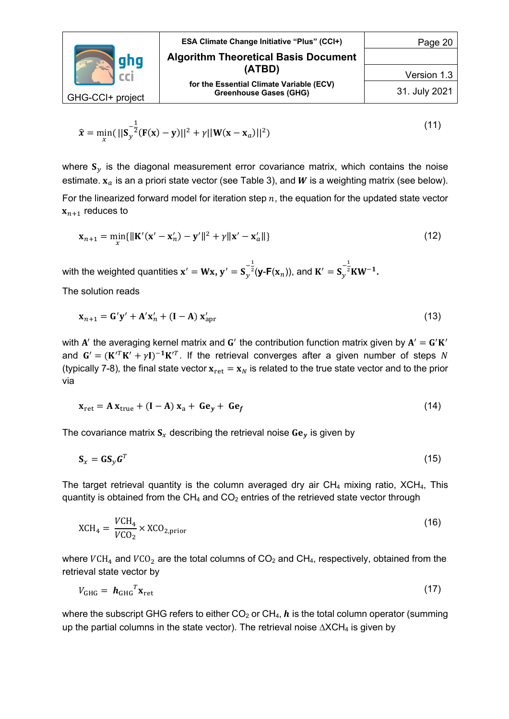|                  | <b>ESA Climate Change Initiative "Plus" (CCI+)</b>                        | Page 20       |
|------------------|---------------------------------------------------------------------------|---------------|
| qhq              | <b>Algorithm Theoretical Basis Document</b>                               |               |
|                  | (ATBD)                                                                    | Version 1.3   |
| GHG-CCI+ project | for the Essential Climate Variable (ECV)<br><b>Greenhouse Gases (GHG)</b> | 31. July 2021 |

$$
\hat{\mathbf{x}} = \min_{x} (||\mathbf{S}_y^{-\frac{1}{2}} (\mathbf{F}(\mathbf{x}) - \mathbf{y})||^2 + \gamma ||\mathbf{W}(\mathbf{x} - \mathbf{x}_a)||^2)
$$
(11)

where  $S_y$  is the diagonal measurement error covariance matrix, which contains the noise estimate.  $x_a$  is an a priori state vector (see Table 3), and W is a weighting matrix (see below). For the linearized forward model for iteration step  $n$ , the equation for the updated state vector  ${\bf x}_{n+1}$  reduces to

$$
\mathbf{x}_{n+1} = \min_{\mathbf{x}} \{ ||\mathbf{K}'(\mathbf{x}' - \mathbf{x}'_n) - \mathbf{y}'||^2 + \gamma ||\mathbf{x}' - \mathbf{x}'_a|| \}
$$
(12)

with the weighted quantities  $\mathbf{x}' = \mathbf{W}\mathbf{x}$ ,  $\mathbf{y}' = \mathbf{S}_{\mathcal{Y}}^{-\frac{1}{2}}(\mathbf{y}\text{-}\mathbf{F}(\mathbf{x}_n))$ , and  $\mathbf{K}' = \mathbf{S}_{\mathcal{Y}}^{-\frac{1}{2}}\mathbf{K}\mathbf{W}^{-1}$ .

The solution reads

$$
\mathbf{x}_{n+1} = \mathbf{G}'\mathbf{y}' + \mathbf{A}'\mathbf{x}'_n + (\mathbf{I} - \mathbf{A})\mathbf{x}'_{\text{apr}}
$$
\n(13)

with A' the averaging kernel matrix and G' the contribution function matrix given by  $A' = G'K'$ and  $G' = (K'^T K' + \gamma I)^{-1} K'^T$ . If the retrieval converges after a given number of steps N (typically 7-8), the final state vector  $\mathbf{x}_{\text{ret}} = \mathbf{x}_N$  is related to the true state vector and to the prior via

$$
\mathbf{x}_{\text{ret}} = \mathbf{A} \, \mathbf{x}_{\text{true}} + (\mathbf{I} - \mathbf{A}) \, \mathbf{x}_a + \mathbf{G} \mathbf{e}_y + \mathbf{G} \mathbf{e}_f \tag{14}
$$

The covariance matrix  $S_x$  describing the retrieval noise  $Ge_y$  is given by

$$
\mathbf{S}_x = \mathbf{G} \mathbf{S}_y \mathbf{G}^T \tag{15}
$$

The target retrieval quantity is the column averaged dry air  $CH_4$  mixing ratio,  $XCH_4$ , This quantity is obtained from the  $CH_4$  and  $CO_2$  entries of the retrieved state vector through

$$
XCH_4 = \frac{VCH_4}{VCO_2} \times XCO_{2,\text{prior}}
$$
 (16)

where  $VCH_4$  and  $VCO_2$  are the total columns of  $CO_2$  and  $CH_4$ , respectively, obtained from the retrieval state vector by

$$
V_{\text{GHG}} = \boldsymbol{h}_{\text{GHG}}^T \mathbf{x}_{\text{ret}} \tag{17}
$$

where the subscript GHG refers to either  $CO<sub>2</sub>$  or  $CH<sub>4</sub>$ ,  $h$  is the total column operator (summing up the partial columns in the state vector). The retrieval noise  $\triangle XCH_4$  is given by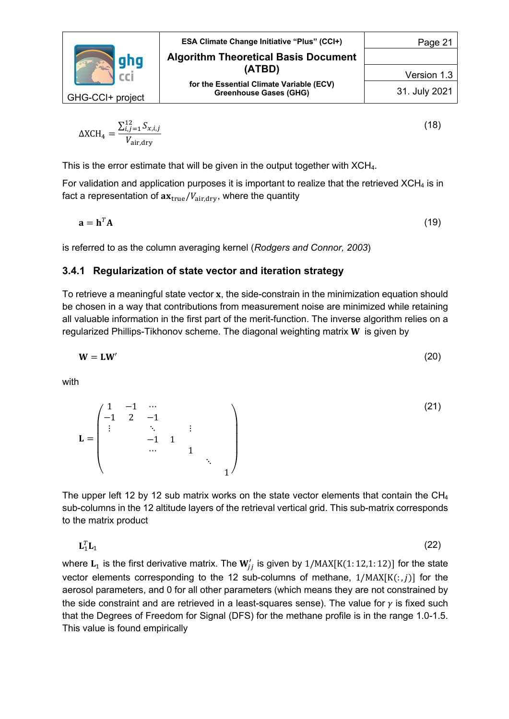

$$
\Delta XCH_4 = \frac{\sum_{i,j=1}^{12} S_{x,i,j}}{V_{\text{air,dry}}}
$$
\n(18)

This is the error estimate that will be given in the output together with XCH4.

For validation and application purposes it is important to realize that the retrieved  $XCH_4$  is in fact a representation of  $ax_{true}/V_{air, dry}$ , where the quantity

 $\mathbf{a} = \mathbf{h}^T \mathbf{A}$  (19)

is referred to as the column averaging kernel (*Rodgers and Connor, 2003*)

#### **3.4.1 Regularization of state vector and iteration strategy**

To retrieve a meaningful state vector  $x$ , the side-constrain in the minimization equation should be chosen in a way that contributions from measurement noise are minimized while retaining all valuable information in the first part of the merit-function. The inverse algorithm relies on a regularized Phillips-Tikhonov scheme. The diagonal weighting matrix  $W$  is given by

$$
W = LW'
$$
 (20)

with

$$
\mathbf{L} = \begin{pmatrix} 1 & -1 & \cdots & & & & \\ -1 & 2 & -1 & & & & \\ \vdots & & \ddots & & \vdots & & \\ & & -1 & 1 & & & \\ & & & \cdots & & 1 & \\ & & & & & & 1 \end{pmatrix}
$$
 (21)

The upper left 12 by 12 sub matrix works on the state vector elements that contain the  $CH_4$ sub-columns in the 12 altitude layers of the retrieval vertical grid. This sub-matrix corresponds to the matrix product

 $\mathbf{L}_1^T \mathbf{L}_1$  ${}_{11}^T \mathbf{L}_1$  (22)

where  $\mathbf{L}_1$  is the first derivative matrix. The  $\mathbf{W}'_{jj}$  is given by  $1/\text{MAX}[ \text{K}(1:12{,}1:12) ]$  for the state vector elements corresponding to the 12 sub-columns of methane,  $1/MAX[K(:, j)]$  for the aerosol parameters, and 0 for all other parameters (which means they are not constrained by the side constraint and are retrieved in a least-squares sense). The value for  $\gamma$  is fixed such that the Degrees of Freedom for Signal (DFS) for the methane profile is in the range 1.0-1.5. This value is found empirically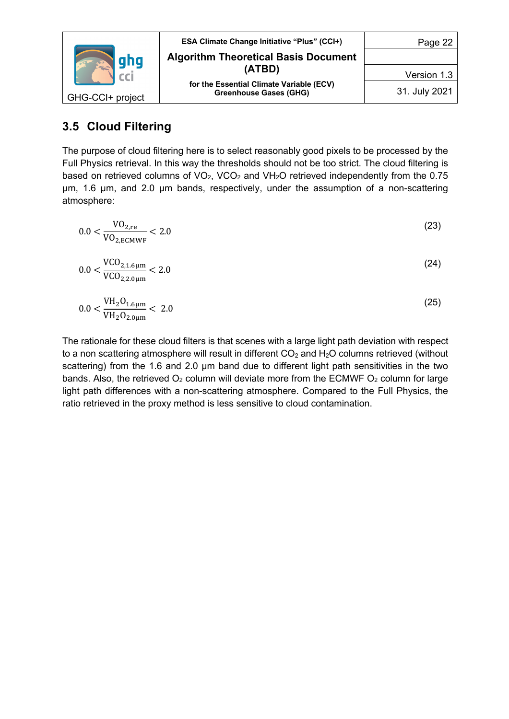

## **3.5 Cloud Filtering**

The purpose of cloud filtering here is to select reasonably good pixels to be processed by the Full Physics retrieval. In this way the thresholds should not be too strict. The cloud filtering is based on retrieved columns of  $VO<sub>2</sub>$ , VCO<sub>2</sub> and VH<sub>2</sub>O retrieved independently from the 0.75 µm, 1.6 µm, and 2.0 µm bands, respectively, under the assumption of a non-scattering atmosphere:

$$
0.0 < \frac{\text{VO}_{2,\text{re}}}{\text{VO}_{2,\text{ECMWF}}} < 2.0 \tag{23}
$$

$$
0.0 < \frac{\text{VCO}_{2,1.6\,\mu\text{m}}}{\text{VCO}_{2,2.0\,\mu\text{m}}} < 2.0 \tag{24}
$$

$$
0.0 < \frac{\text{VH}_2\text{O}_{1.6\mu\text{m}}}{\text{VH}_2\text{O}_{2.0\mu\text{m}}} < 2.0 \tag{25}
$$

The rationale for these cloud filters is that scenes with a large light path deviation with respect to a non scattering atmosphere will result in different  $CO<sub>2</sub>$  and  $H<sub>2</sub>O$  columns retrieved (without scattering) from the 1.6 and 2.0 µm band due to different light path sensitivities in the two bands. Also, the retrieved  $O_2$  column will deviate more from the ECMWF  $O_2$  column for large light path differences with a non-scattering atmosphere. Compared to the Full Physics, the ratio retrieved in the proxy method is less sensitive to cloud contamination.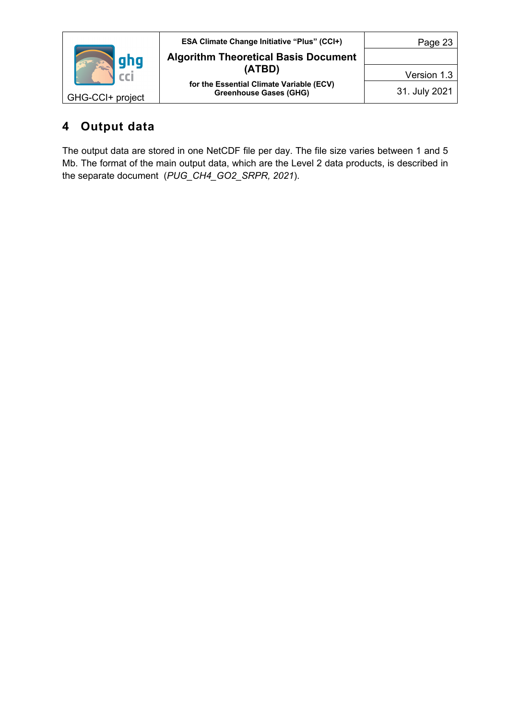|                  | <b>ESA Climate Change Initiative "Plus" (CCI+)</b>                        | Page 23       |
|------------------|---------------------------------------------------------------------------|---------------|
| gha              | <b>Algorithm Theoretical Basis Document</b>                               |               |
|                  | (ATBD)                                                                    | Version 1.3   |
| GHG-CCI+ project | for the Essential Climate Variable (ECV)<br><b>Greenhouse Gases (GHG)</b> | 31. July 2021 |

# **4 Output data**

The output data are stored in one NetCDF file per day. The file size varies between 1 and 5 Mb. The format of the main output data, which are the Level 2 data products, is described in the separate document (*PUG\_CH4\_GO2\_SRPR, 2021*).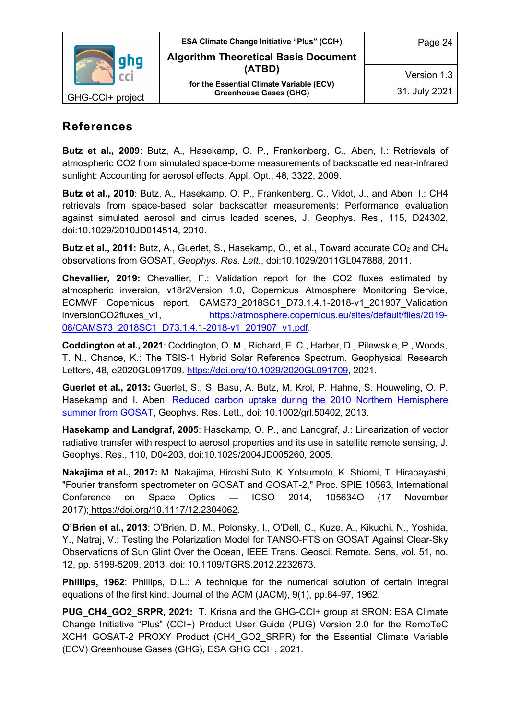

### **References**

**Butz et al., 2009**: Butz, A., Hasekamp, O. P., Frankenberg, C., Aben, I.: Retrievals of atmospheric CO2 from simulated space-borne measurements of backscattered near-infrared sunlight: Accounting for aerosol effects. Appl. Opt., 48, 3322, 2009.

**Butz et al., 2010**: Butz, A., Hasekamp, O. P., Frankenberg, C., Vidot, J., and Aben, I.: CH4 retrievals from space-based solar backscatter measurements: Performance evaluation against simulated aerosol and cirrus loaded scenes, J. Geophys. Res., 115, D24302, doi:10.1029/2010JD014514, 2010.

**Butz et al., 2011:** Butz, A., Guerlet, S., Hasekamp, O., et al., Toward accurate CO<sub>2</sub> and CH<sub>4</sub> observations from GOSAT, *Geophys. Res. Lett.*, doi:10.1029/2011GL047888, 2011.

**Chevallier, 2019:** Chevallier, F.: Validation report for the CO2 fluxes estimated by atmospheric inversion, v18r2Version 1.0, Copernicus Atmosphere Monitoring Service, ECMWF Copernicus report, CAMS73\_2018SC1\_D73.1.4.1-2018-v1\_201907\_Validation inversionCO2fluxes\_v1. https://atmosphere.copernicus.eu/sites/default/files/2019-08/CAMS73\_2018SC1\_D73.1.4.1-2018-v1\_201907\_v1.pdf.

**Coddington et al., 2021**: Coddington, O. M., Richard, E. C., Harber, D., Pilewskie, P., Woods, T. N., Chance, K.: The TSIS-1 Hybrid Solar Reference Spectrum. Geophysical Research Letters, 48, e2020GL091709. https://doi.org/10.1029/2020GL091709, 2021.

**Guerlet et al., 2013:** Guerlet, S., S. Basu, A. Butz, M. Krol, P. Hahne, S. Houweling, O. P. Hasekamp and I. Aben, Reduced carbon uptake during the 2010 Northern Hemisphere summer from GOSAT, Geophys. Res. Lett., doi: 10.1002/grl.50402, 2013.

**Hasekamp and Landgraf, 2005**: Hasekamp, O. P., and Landgraf, J.: Linearization of vector radiative transfer with respect to aerosol properties and its use in satellite remote sensing, J. Geophys. Res., 110, D04203, doi:10.1029/2004JD005260, 2005.

**Nakajima et al., 2017:** M. Nakajima, Hiroshi Suto, K. Yotsumoto, K. Shiomi, T. Hirabayashi, "Fourier transform spectrometer on GOSAT and GOSAT-2," Proc. SPIE 10563, International Conference on Space Optics — ICSO 2014, 105634O (17 November 2017); https://doi.org/10.1117/12.2304062.

**O'Brien et al., 2013**: O'Brien, D. M., Polonsky, I., O'Dell, C., Kuze, A., Kikuchi, N., Yoshida, Y., Natraj, V.: Testing the Polarization Model for TANSO-FTS on GOSAT Against Clear-Sky Observations of Sun Glint Over the Ocean, IEEE Trans. Geosci. Remote. Sens, vol. 51, no. 12, pp. 5199-5209, 2013, doi: 10.1109/TGRS.2012.2232673.

**Phillips, 1962**: Phillips, D.L.: A technique for the numerical solution of certain integral equations of the first kind. Journal of the ACM (JACM), 9(1), pp.84-97, 1962.

**PUG CH4 GO2 SRPR, 2021:** T. Krisna and the GHG-CCI+ group at SRON: ESA Climate Change Initiative "Plus" (CCI+) Product User Guide (PUG) Version 2.0 for the RemoTeC XCH4 GOSAT-2 PROXY Product (CH4\_GO2\_SRPR) for the Essential Climate Variable (ECV) Greenhouse Gases (GHG), ESA GHG CCI+, 2021.